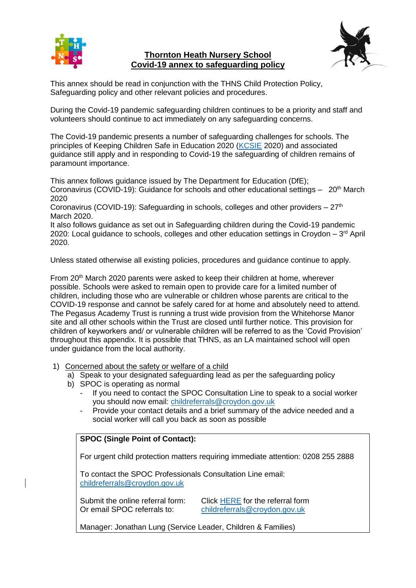

### **Thornton Heath Nursery School Covid-19 annex to safeguarding policy**



This annex should be read in conjunction with the THNS Child Protection Policy, Safeguarding policy and other relevant policies and procedures.

During the Covid-19 pandemic safeguarding children continues to be a priority and staff and volunteers should continue to act immediately on any safeguarding concerns.

The Covid-19 pandemic presents a number of safeguarding challenges for schools. The principles of Keeping Children Safe in Education 2020 [\(KCSIE](https://assets.publishing.service.gov.uk/government/uploads/system/uploads/attachment_data/file/835733/Keeping_children_safe_in_education_2019.pdf) 2020) and associated guidance still apply and in responding to Covid-19 the safeguarding of children remains of paramount importance.

This annex follows guidance issued by The Department for Education (DfE); Coronavirus (COVID-19): Guidance for schools and other educational settings  $-20<sup>th</sup>$  March 2020

Coronavirus (COVID-19): Safeguarding in schools, colleges and other providers  $-27<sup>th</sup>$ March 2020.

It also follows guidance as set out in Safeguarding children during the Covid-19 pandemic 2020: Local guidance to schools, colleges and other education settings in Croydon  $-3<sup>rd</sup>$  April 2020.

Unless stated otherwise all existing policies, procedures and guidance continue to apply.

From 20th March 2020 parents were asked to keep their children at home, wherever possible. Schools were asked to remain open to provide care for a limited number of children, including those who are vulnerable or children whose parents are critical to the COVID-19 response and cannot be safely cared for at home and absolutely need to attend. The Pegasus Academy Trust is running a trust wide provision from the Whitehorse Manor site and all other schools within the Trust are closed until further notice. This provision for children of keyworkers and/ or vulnerable children will be referred to as the 'Covid Provision' throughout this appendix. It is possible that THNS, as an LA maintained school will open under guidance from the local authority.

- 1) Concerned about the safety or welfare of a child
	- a) Speak to your designated safeguarding lead as per the safeguarding policy
	- b) SPOC is operating as normal
		- If you need to contact the SPOC Consultation Line to speak to a social worker you should now email: [childreferrals@croydon.gov.uk](mailto:childreferrals@croydon.gov.uk)
		- Provide your contact details and a brief summary of the advice needed and a social worker will call you back as soon as possible

# **SPOC (Single Point of Contact):**

For urgent child protection matters requiring immediate attention: 0208 255 2888

To contact the SPOC Professionals Consultation Line email: [childreferrals@croydon.gov.uk](mailto:childreferrals@croydon.gov.uk)

Submit the online referral form: Click [HERE](https://my.croydon.gov.uk/MashReferrals) for the referral form Or email SPOC referrals to: [childreferrals@croydon.gov.uk](mailto:childreferrals@croydon.gov.uk)

Manager: Jonathan Lung (Service Leader, Children & Families)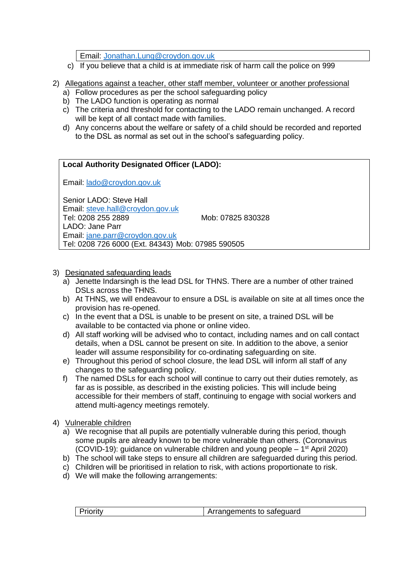Email: [Jonathan.Lung@croydon.gov.uk](mailto:Jonathan.Lung@croydon.gov.uk)

- c) If you believe that a child is at immediate risk of harm call the police on 999
- 2) Allegations against a teacher, other staff member, volunteer or another professional
	- a) Follow procedures as per the school safeguarding policy
	- b) The LADO function is operating as normal
	- c) The criteria and threshold for contacting to the LADO remain unchanged. A record will be kept of all contact made with families.
	- d) Any concerns about the welfare or safety of a child should be recorded and reported to the DSL as normal as set out in the school's safeguarding policy.

### **Local Authority Designated Officer (LADO):**

Email: [lado@croydon.gov.uk](mailto:lado@croydon.gov.uk)

Senior LADO: Steve Hall Email: [steve.hall@croydon.gov.uk](mailto:steve.hall@croydon.gov.uk) Tel: 0208 255 2889 Mob: 07825 830328 LADO: Jane Parr Email: [jane.parr@croydon.gov.uk](mailto:jane.parr@croydon.gov.uk) Tel: 0208 726 6000 (Ext. 84343) Mob: 07985 590505

- 3) Designated safeguarding leads
	- a) Jenette Indarsingh is the lead DSL for THNS. There are a number of other trained DSLs across the THNS.
	- b) At THNS, we will endeavour to ensure a DSL is available on site at all times once the provision has re-opened.
	- c) In the event that a DSL is unable to be present on site, a trained DSL will be available to be contacted via phone or online video.
	- d) All staff working will be advised who to contact, including names and on call contact details, when a DSL cannot be present on site. In addition to the above, a senior leader will assume responsibility for co-ordinating safeguarding on site.
	- e) Throughout this period of school closure, the lead DSL will inform all staff of any changes to the safeguarding policy.
	- f) The named DSLs for each school will continue to carry out their duties remotely, as far as is possible, as described in the existing policies. This will include being accessible for their members of staff, continuing to engage with social workers and attend multi-agency meetings remotely.

#### 4) Vulnerable children

- a) We recognise that all pupils are potentially vulnerable during this period, though some pupils are already known to be more vulnerable than others. (Coronavirus (COVID-19): guidance on vulnerable children and young people – 1 st April 2020)
- b) The school will take steps to ensure all children are safeguarded during this period.
- c) Children will be prioritised in relation to risk, with actions proportionate to risk.
- d) We will make the following arrangements:

|  | Priority | Arrangements to safeguard |
|--|----------|---------------------------|
|--|----------|---------------------------|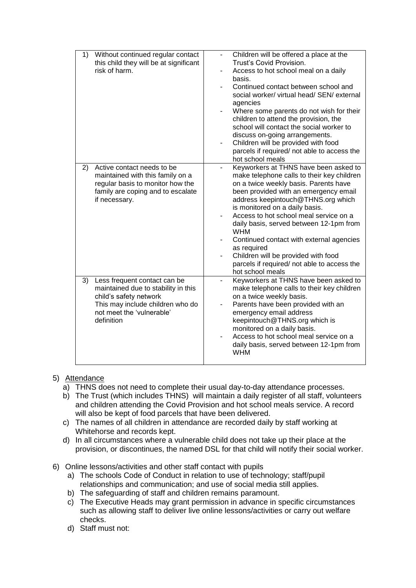| Without continued regular contact<br>1)<br>this child they will be at significant<br>risk of harm.                                                                                 | Children will be offered a place at the<br>Trust's Covid Provision.<br>Access to hot school meal on a daily<br>basis.<br>Continued contact between school and<br>social worker/ virtual head/ SEN/ external<br>agencies<br>Where some parents do not wish for their<br>children to attend the provision, the<br>school will contact the social worker to<br>discuss on-going arrangements.<br>Children will be provided with food<br>$\overline{\phantom{0}}$<br>parcels if required/ not able to access the<br>hot school meals        |
|------------------------------------------------------------------------------------------------------------------------------------------------------------------------------------|-----------------------------------------------------------------------------------------------------------------------------------------------------------------------------------------------------------------------------------------------------------------------------------------------------------------------------------------------------------------------------------------------------------------------------------------------------------------------------------------------------------------------------------------|
| Active contact needs to be<br>2)<br>maintained with this family on a<br>regular basis to monitor how the<br>family are coping and to escalate<br>if necessary.                     | Keyworkers at THNS have been asked to<br>$\overline{a}$<br>make telephone calls to their key children<br>on a twice weekly basis. Parents have<br>been provided with an emergency email<br>address keepintouch@THNS.org which<br>is monitored on a daily basis.<br>Access to hot school meal service on a<br>daily basis, served between 12-1pm from<br><b>WHM</b><br>Continued contact with external agencies<br>as required<br>Children will be provided with food<br>parcels if required/ not able to access the<br>hot school meals |
| 3)<br>Less frequent contact can be<br>maintained due to stability in this<br>child's safety network<br>This may include children who do<br>not meet the 'vulnerable'<br>definition | Keyworkers at THNS have been asked to<br>make telephone calls to their key children<br>on a twice weekly basis.<br>Parents have been provided with an<br>emergency email address<br>keepintouch@THNS.org which is<br>monitored on a daily basis.<br>Access to hot school meal service on a<br>daily basis, served between 12-1pm from<br><b>WHM</b>                                                                                                                                                                                     |

# 5) Attendance

- a) THNS does not need to complete their usual day-to-day attendance processes.
- b) The Trust (which includes THNS) will maintain a daily register of all staff, volunteers and children attending the Covid Provision and hot school meals service. A record will also be kept of food parcels that have been delivered.
- c) The names of all children in attendance are recorded daily by staff working at Whitehorse and records kept.
- d) In all circumstances where a vulnerable child does not take up their place at the provision, or discontinues, the named DSL for that child will notify their social worker.
- 6) Online lessons/activities and other staff contact with pupils
	- a) The schools Code of Conduct in relation to use of technology; staff/pupil relationships and communication; and use of social media still applies.
	- b) The safeguarding of staff and children remains paramount.
	- c) The Executive Heads may grant permission in advance in specific circumstances such as allowing staff to deliver live online lessons/activities or carry out welfare checks.
	- d) Staff must not: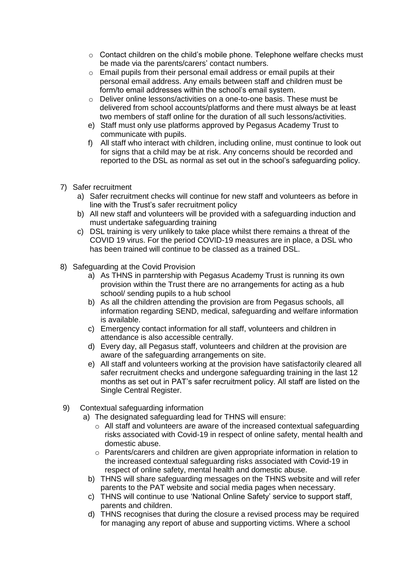- o Contact children on the child's mobile phone. Telephone welfare checks must be made via the parents/carers' contact numbers.
- o Email pupils from their personal email address or email pupils at their personal email address. Any emails between staff and children must be form/to email addresses within the school's email system.
- o Deliver online lessons/activities on a one-to-one basis. These must be delivered from school accounts/platforms and there must always be at least two members of staff online for the duration of all such lessons/activities.
- e) Staff must only use platforms approved by Pegasus Academy Trust to communicate with pupils.
- f) All staff who interact with children, including online, must continue to look out for signs that a child may be at risk. Any concerns should be recorded and reported to the DSL as normal as set out in the school's safeguarding policy.
- 7) Safer recruitment
	- a) Safer recruitment checks will continue for new staff and volunteers as before in line with the Trust's safer recruitment policy
	- b) All new staff and volunteers will be provided with a safeguarding induction and must undertake safeguarding training
	- c) DSL training is very unlikely to take place whilst there remains a threat of the COVID 19 virus. For the period COVID-19 measures are in place, a DSL who has been trained will continue to be classed as a trained DSL.
- 8) Safeguarding at the Covid Provision
	- a) As THNS in parntership with Pegasus Academy Trust is running its own provision within the Trust there are no arrangements for acting as a hub school/ sending pupils to a hub school
	- b) As all the children attending the provision are from Pegasus schools, all information regarding SEND, medical, safeguarding and welfare information is available.
	- c) Emergency contact information for all staff, volunteers and children in attendance is also accessible centrally.
	- d) Every day, all Pegasus staff, volunteers and children at the provision are aware of the safeguarding arrangements on site.
	- e) All staff and volunteers working at the provision have satisfactorily cleared all safer recruitment checks and undergone safeguarding training in the last 12 months as set out in PAT's safer recruitment policy. All staff are listed on the Single Central Register.
- 9) Contextual safeguarding information
	- a) The designated safeguarding lead for THNS will ensure:
		- $\circ$  All staff and volunteers are aware of the increased contextual safeguarding risks associated with Covid-19 in respect of online safety, mental health and domestic abuse.
		- $\circ$  Parents/carers and children are given appropriate information in relation to the increased contextual safeguarding risks associated with Covid-19 in respect of online safety, mental health and domestic abuse.
		- b) THNS will share safeguarding messages on the THNS website and will refer parents to the PAT website and social media pages when necessary.
		- c) THNS will continue to use 'National Online Safety' service to support staff, parents and children.
		- d) THNS recognises that during the closure a revised process may be required for managing any report of abuse and supporting victims. Where a school